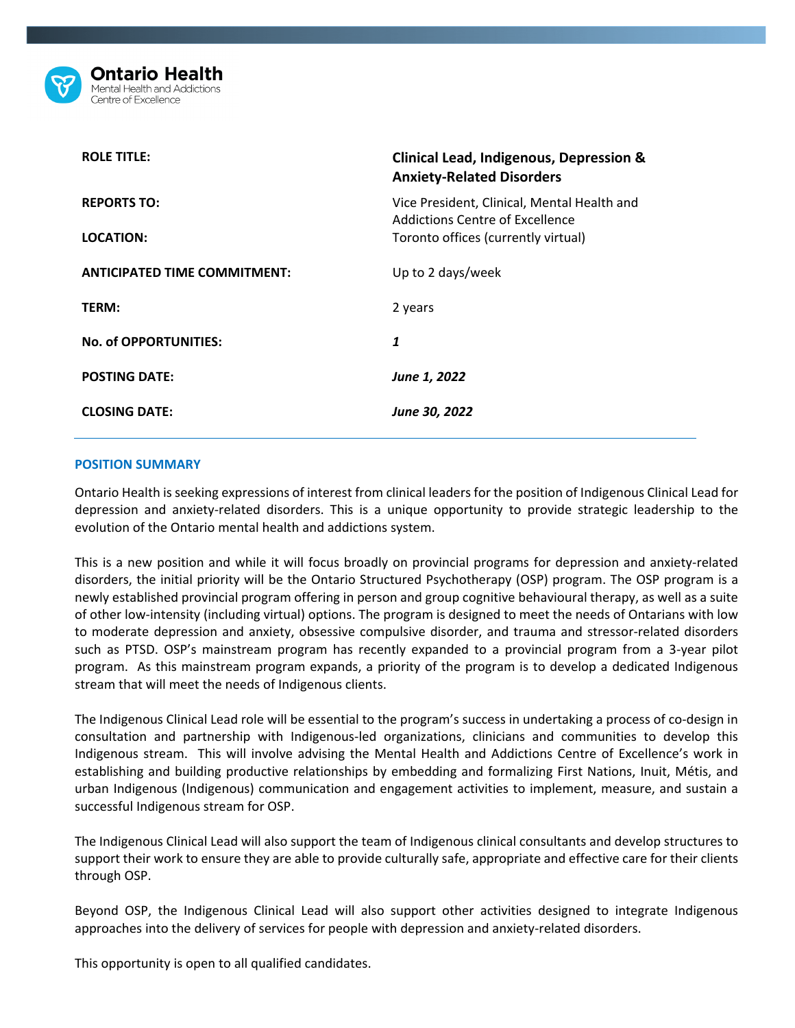

| <b>ROLE TITLE:</b>                  | <b>Clinical Lead, Indigenous, Depression &amp;</b><br><b>Anxiety-Related Disorders</b> |
|-------------------------------------|----------------------------------------------------------------------------------------|
| <b>REPORTS TO:</b>                  | Vice President, Clinical, Mental Health and<br>Addictions Centre of Excellence         |
| LOCATION:                           | Toronto offices (currently virtual)                                                    |
| <b>ANTICIPATED TIME COMMITMENT:</b> | Up to 2 days/week                                                                      |
| TERM:                               | 2 years                                                                                |
| No. of OPPORTUNITIES:               | 1                                                                                      |
| <b>POSTING DATE:</b>                | June 1, 2022                                                                           |
| <b>CLOSING DATE:</b>                | June 30, 2022                                                                          |

### **POSITION SUMMARY**

Ontario Health is seeking expressions of interest from clinical leaders for the position of Indigenous Clinical Lead for depression and anxiety-related disorders. This is a unique opportunity to provide strategic leadership to the evolution of the Ontario mental health and addictions system.

This is a new position and while it will focus broadly on provincial programs for depression and anxiety-related disorders, the initial priority will be the Ontario Structured Psychotherapy (OSP) program. The OSP program is a newly established provincial program offering in person and group cognitive behavioural therapy, as well as a suite of other low-intensity (including virtual) options. The program is designed to meet the needs of Ontarians with low to moderate depression and anxiety, obsessive compulsive disorder, and trauma and stressor-related disorders such as PTSD. OSP's mainstream program has recently expanded to a provincial program from a 3-year pilot program. As this mainstream program expands, a priority of the program is to develop a dedicated Indigenous stream that will meet the needs of Indigenous clients.

The Indigenous Clinical Lead role will be essential to the program's success in undertaking a process of co-design in consultation and partnership with Indigenous-led organizations, clinicians and communities to develop this Indigenous stream. This will involve advising the Mental Health and Addictions Centre of Excellence's work in establishing and building productive relationships by embedding and formalizing First Nations, Inuit, Métis, and urban Indigenous (Indigenous) communication and engagement activities to implement, measure, and sustain a successful Indigenous stream for OSP.

The Indigenous Clinical Lead will also support the team of Indigenous clinical consultants and develop structures to support their work to ensure they are able to provide culturally safe, appropriate and effective care for their clients through OSP.

Beyond OSP, the Indigenous Clinical Lead will also support other activities designed to integrate Indigenous approaches into the delivery of services for people with depression and anxiety-related disorders.

This opportunity is open to all qualified candidates.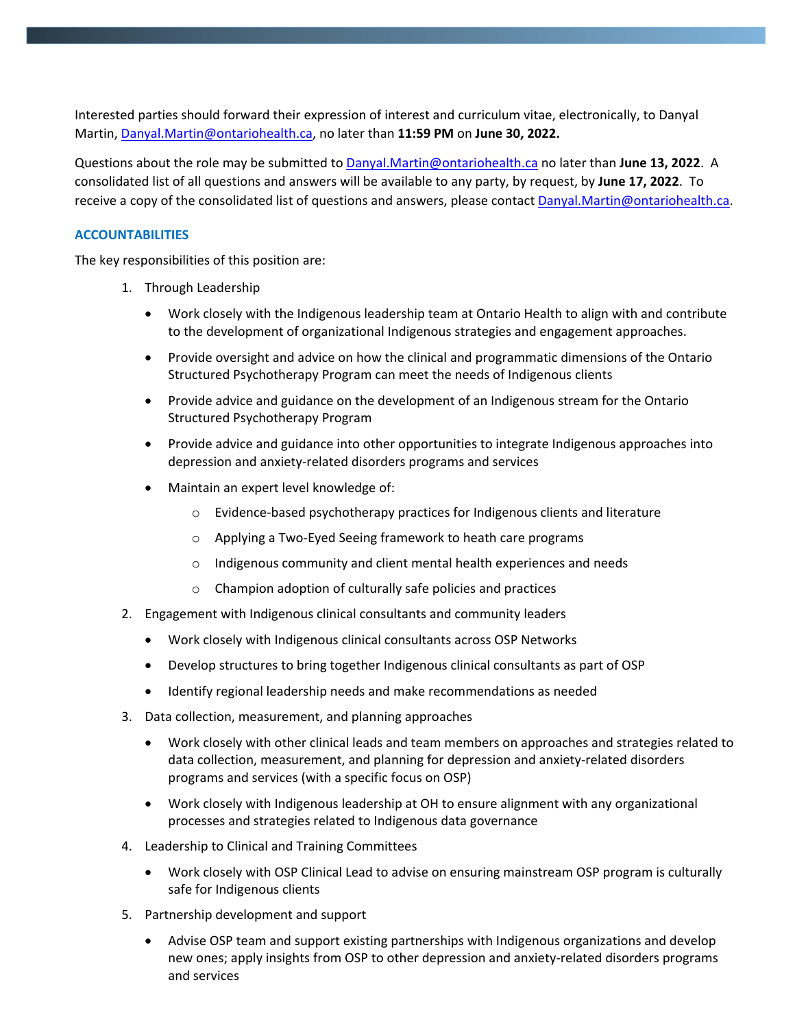Interested parties should forward their expression of interest and curriculum vitae, electronically, to Danyal Martin, [Danyal.Martin@ontariohealth.ca,](mailto:Danyal.Martin@ontariohealth.ca) no later than **11:59 PM** on **June 30, 2022.** 

Questions about the role may be submitted to [Danyal.Martin@ontariohealth.ca](mailto:Danyal.Martin@OntarioHealth.ca) no later than **June 13, 2022**. A consolidated list of all questions and answers will be available to any party, by request, by **June 17, 2022**. To receive a copy of the consolidated list of questions and answers, please contac[t Danyal.Martin@ontariohealth.ca.](mailto:Danyal.Martin@OntarioHealth.ca)

# **ACCOUNTABILITIES**

The key responsibilities of this position are:

- 1. Through Leadership
	- Work closely with the Indigenous leadership team at Ontario Health to align with and contribute to the development of organizational Indigenous strategies and engagement approaches.
	- Provide oversight and advice on how the clinical and programmatic dimensions of the Ontario Structured Psychotherapy Program can meet the needs of Indigenous clients
	- Provide advice and guidance on the development of an Indigenous stream for the Ontario Structured Psychotherapy Program
	- Provide advice and guidance into other opportunities to integrate Indigenous approaches into depression and anxiety-related disorders programs and services
	- Maintain an expert level knowledge of:
		- o Evidence-based psychotherapy practices for Indigenous clients and literature
		- o Applying a Two-Eyed Seeing framework to heath care programs
		- o Indigenous community and client mental health experiences and needs
		- o Champion adoption of culturally safe policies and practices
- 2. Engagement with Indigenous clinical consultants and community leaders
	- Work closely with Indigenous clinical consultants across OSP Networks
	- Develop structures to bring together Indigenous clinical consultants as part of OSP
	- Identify regional leadership needs and make recommendations as needed
- 3. Data collection, measurement, and planning approaches
	- Work closely with other clinical leads and team members on approaches and strategies related to data collection, measurement, and planning for depression and anxiety-related disorders programs and services (with a specific focus on OSP)
	- Work closely with Indigenous leadership at OH to ensure alignment with any organizational processes and strategies related to Indigenous data governance
- 4. Leadership to Clinical and Training Committees
	- Work closely with OSP Clinical Lead to advise on ensuring mainstream OSP program is culturally safe for Indigenous clients
- 5. Partnership development and support
	- Advise OSP team and support existing partnerships with Indigenous organizations and develop new ones; apply insights from OSP to other depression and anxiety-related disorders programs and services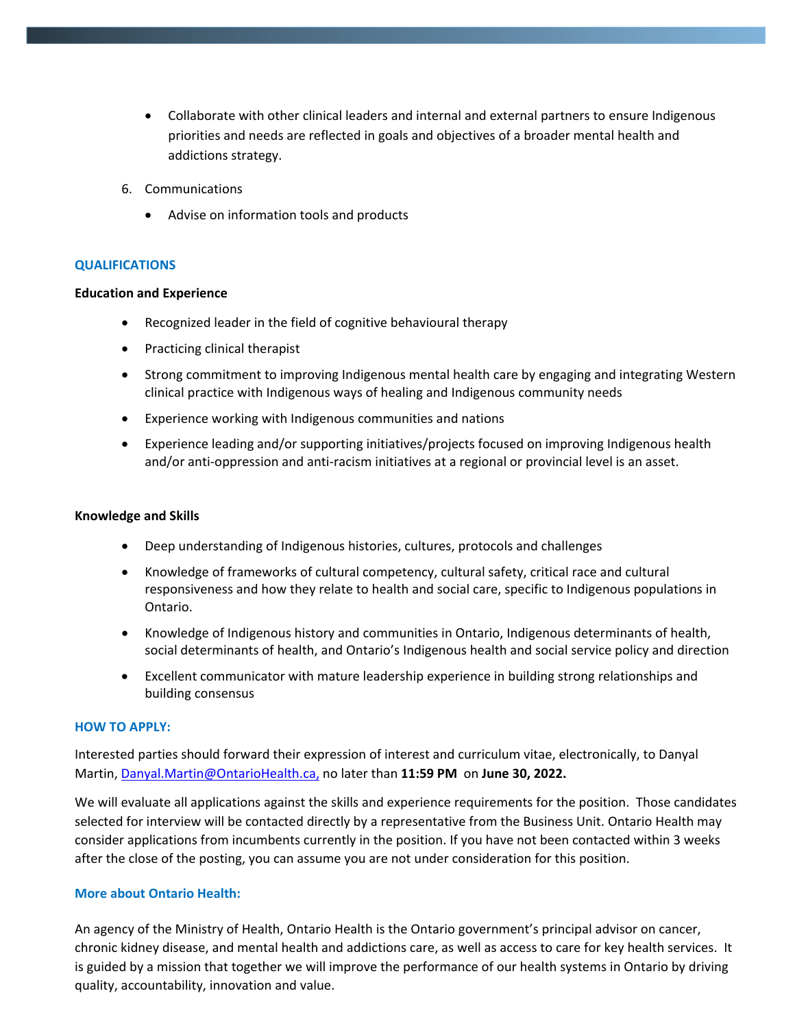- Collaborate with other clinical leaders and internal and external partners to ensure Indigenous priorities and needs are reflected in goals and objectives of a broader mental health and addictions strategy.
- 6. Communications
	- Advise on information tools and products

## **QUALIFICATIONS**

## **Education and Experience**

- Recognized leader in the field of cognitive behavioural therapy
- Practicing clinical therapist
- Strong commitment to improving Indigenous mental health care by engaging and integrating Western clinical practice with Indigenous ways of healing and Indigenous community needs
- Experience working with Indigenous communities and nations
- Experience leading and/or supporting initiatives/projects focused on improving Indigenous health and/or anti-oppression and anti-racism initiatives at a regional or provincial level is an asset.

### **Knowledge and Skills**

- Deep understanding of Indigenous histories, cultures, protocols and challenges
- Knowledge of frameworks of cultural competency, cultural safety, critical race and cultural responsiveness and how they relate to health and social care, specific to Indigenous populations in Ontario.
- Knowledge of Indigenous history and communities in Ontario, Indigenous determinants of health, social determinants of health, and Ontario's Indigenous health and social service policy and direction
- Excellent communicator with mature leadership experience in building strong relationships and building consensus

### **HOW TO APPLY:**

Interested parties should forward their expression of interest and curriculum vitae, electronically, to Danyal Martin, [Danyal.Martin@OntarioHealth.ca,](mailto:Danyal.Martin@OntarioHealth.ca) no later than **11:59 PM** on **June 30, 2022.** 

We will evaluate all applications against the skills and experience requirements for the position. Those candidates selected for interview will be contacted directly by a representative from the Business Unit. Ontario Health may consider applications from incumbents currently in the position. If you have not been contacted within 3 weeks after the close of the posting, you can assume you are not under consideration for this position.

## **More about Ontario Health:**

An agency of the Ministry of Health, Ontario Health is the Ontario government's principal advisor on cancer, chronic kidney disease, and mental health and addictions care, as well as access to care for key health services. It is guided by a mission that together we will improve the performance of our health systems in Ontario by driving quality, accountability, innovation and value.